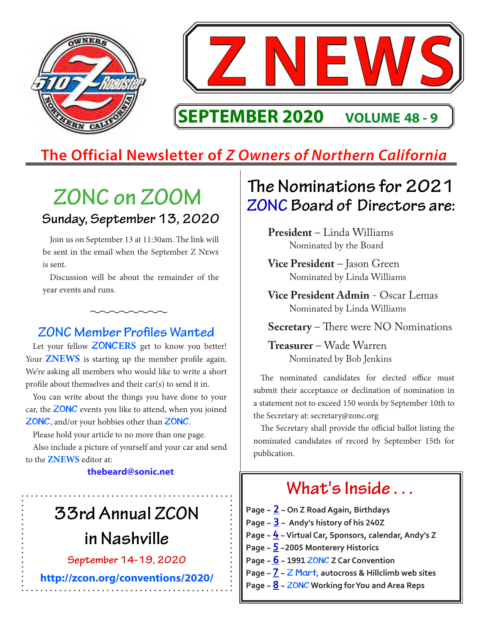

## **The Official Newsletter of** *Z Owners of Northern California*

## **ZONC on ZOOM Sunday, September 13, 2020**

Join us on September 13 at 11:30am. The link will be sent in the email when the September Z News is sent.

Discussion will be about the remainder of the year events and runs.

#### **ZONC Member Profiles Wanted**

Let your fellow **ZONCERS** get to know you better! Your **ZNEWS** is starting up the member profile again. We're asking all members who would like to write a short profile about themselves and their car(s) to send it in.

You can write about the things you have done to your car, the **ZONC** events you like to attend, when you joined **ZONC**, and/or your hobbies other than **ZONC**.

Please hold your article to no more than one page.

Also include a picture of yourself and your car and send to the **ZNEWS** editor at:

#### **thebeard@sonic.net**

# **33rd Annual ZCON**

**in Nashville**

**September 14-19, 2020**

**<http://zcon.org/conventions/2020/>**

## **The Nominations for 2021 ZONC Board of Directors are:**

**President** – Linda Williams Nominated by the Board

**Vice President** – Jason Green Nominated by Linda Williams

**Vice President Admin** - Oscar Lemas Nominated by Linda Williams

**Secretary** – There were NO Nominations

**Treasurer** – Wade Warren Nominated by Bob Jenkins

The nominated candidates for elected office must submit their acceptance or declination of nomination in a statement not to exceed 150 words by September 10th to the Secretary at: secretary@zonc.org

The Secretary shall provide the official ballot listing the nominated candidates of record by September 15th for publication.

#### **Page ~ [2](#page-1-0) ~ On Z Road Again, Birthdays Page ~ [3](#page-2-0) ~ Andy's history of his 240Z Page ~ [4](#page-3-0) ~ Virtual Car, Sponsors, calendar, Andy's Z Page ~ [5](#page-4-0) ~2005 Monterery Historics Page ~ [6](#page-5-0) ~ 1991 ZONC Z Car Convention Page ~ [7](#page-6-0) ~ Z Mart, autocross & Hillclimb web sites Page ~ [8](#page-7-0) ~ ZONC Working for You and Area Reps What's Inside . . .**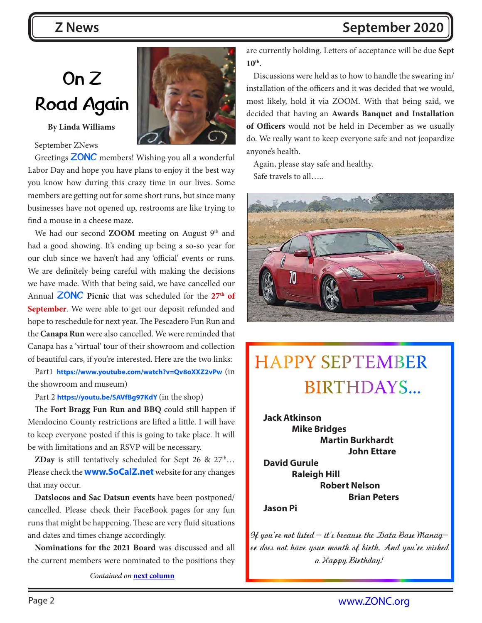# <span id="page-1-0"></span>**On Z Road Again**

#### **By Linda Williams**

#### September ZNews

Greetings **ZONC** members! Wishing you all a wonderful Labor Day and hope you have plans to enjoy it the best way you know how during this crazy time in our lives. Some members are getting out for some short runs, but since many businesses have not opened up, restrooms are like trying to find a mouse in a cheese maze.

We had our second **ZOOM** meeting on August 9<sup>th</sup> and had a good showing. It's ending up being a so-so year for our club since we haven't had any 'official' events or runs. We are definitely being careful with making the decisions we have made. With that being said, we have cancelled our Annual **ZONC Picnic** that was scheduled for the **27th of September**. We were able to get our deposit refunded and hope to reschedule for next year. The Pescadero Fun Run and the **Canapa Run** were also cancelled. We were reminded that Canapa has a 'virtual' tour of their showroom and collection of beautiful cars, if you're interested. Here are the two links:

Part1 **<https://www.youtube.com/watch?v=Qv8oXXZ2vPw>**(in the showroom and museum)

Part 2 **[https://youtu.be/SAVfBg97KdY](https://www.youtube.com/watch?v=SAVfBg97KdY)** (in the shop)

The **Fort Bragg Fun Run and BBQ** could still happen if Mendocino County restrictions are lifted a little. I will have to keep everyone posted if this is going to take place. It will be with limitations and an RSVP will be necessary.

**ZDay** is still tentatively scheduled for Sept 26 &  $27<sup>th</sup>...$ Please check the **[www.SoCalZ.net](http://www.SoCalZ.net)** website for any changes that may occur.

**Datslocos and Sac Datsun events** have been postponed/ cancelled. Please check their FaceBook pages for any fun runs that might be happening. These are very fluid situations and dates and times change accordingly.

**Nominations for the 2021 Board** was discussed and all the current members were nominated to the positions they

*Contained on* **[next column](#page-1-1)**

<span id="page-1-1"></span>are currently holding. Letters of acceptance will be due **Sept 10th**.

Discussions were held as to how to handle the swearing in/ installation of the officers and it was decided that we would, most likely, hold it via ZOOM. With that being said, we decided that having an **Awards Banquet and Installation of Officers** would not be held in December as we usually do. We really want to keep everyone safe and not jeopardize anyone's health.

Again, please stay safe and healthy. Safe travels to all…..



## HAPPY SEPTEMBER BIRTHDAYS...

**Jack Atkinson Mike Bridges Martin Burkhardt John Ettare David Gurule Raleigh Hill Robert Nelson Brian Peters**

**Jason Pi**

**If you're not listed - it's because the Data Base Manager does not have your month of birth. And you're wished a Happy Birthday!**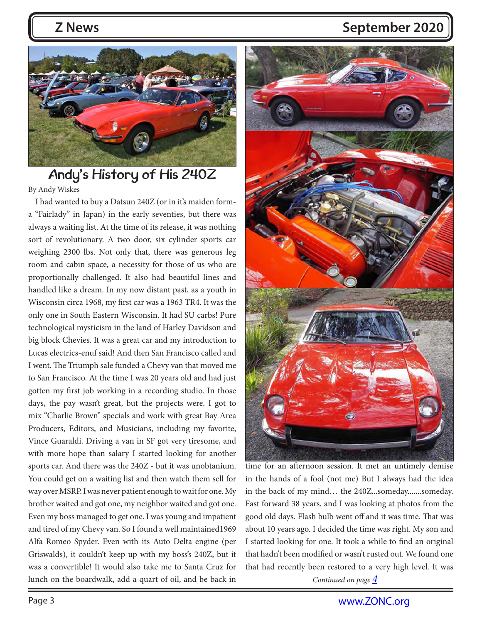<span id="page-2-0"></span>

#### **Andy's History of His 240Z** By Andy Wiskes

I had wanted to buy a Datsun 240Z (or in it's maiden forma "Fairlady" in Japan) in the early seventies, but there was always a waiting list. At the time of its release, it was nothing sort of revolutionary. A two door, six cylinder sports car weighing 2300 lbs. Not only that, there was generous leg room and cabin space, a necessity for those of us who are proportionally challenged. It also had beautiful lines and handled like a dream. In my now distant past, as a youth in Wisconsin circa 1968, my first car was a 1963 TR4. It was the only one in South Eastern Wisconsin. It had SU carbs! Pure technological mysticism in the land of Harley Davidson and big block Chevies. It was a great car and my introduction to Lucas electrics-enuf said! And then San Francisco called and I went. The Triumph sale funded a Chevy van that moved me to San Francisco. At the time I was 20 years old and had just gotten my first job working in a recording studio. In those days, the pay wasn't great, but the projects were. I got to mix "Charlie Brown" specials and work with great Bay Area Producers, Editors, and Musicians, including my favorite, Vince Guaraldi. Driving a van in SF got very tiresome, and with more hope than salary I started looking for another sports car. And there was the 240Z - but it was unobtanium. You could get on a waiting list and then watch them sell for way over MSRP. I was never patient enough to wait for one. My brother waited and got one, my neighbor waited and got one. Even my boss managed to get one. I was young and impatient and tired of my Chevy van. So I found a well maintained1969 Alfa Romeo Spyder. Even with its Auto Delta engine (per Griswalds), it couldn't keep up with my boss's 240Z, but it was a convertible! It would also take me to Santa Cruz for lunch on the boardwalk, add a quart of oil, and be back in *Continued on page*  $\frac{4}{3}$  $\frac{4}{3}$  $\frac{4}{3}$ 



time for an afternoon session. It met an untimely demise in the hands of a fool (not me) But I always had the idea in the back of my mind… the 240Z...someday.......someday. Fast forward 38 years, and I was looking at photos from the good old days. Flash bulb went off and it was time. That was about 10 years ago. I decided the time was right. My son and I started looking for one. It took a while to find an original that hadn't been modified or wasn't rusted out. We found one that had recently been restored to a very high level. It was

<span id="page-2-1"></span>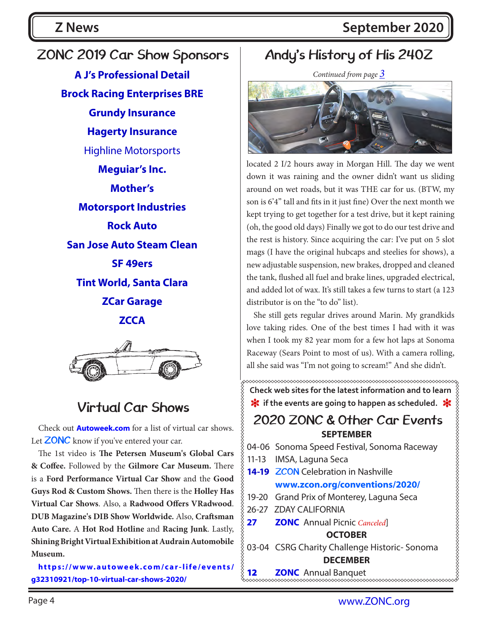## <span id="page-3-0"></span>**ZONC 2019 Car Show Sponsors [A J's Professional Detail](https://www.ajautodetail.com/) [Brock Racing Enterprises BRE](https://bre2.net/) [Grundy Insurance](https://www.grundy.com/) [Hagerty Insurance](https://www.hagerty.com/)** Highline Motorsports **[Meguiar's Inc.](https://www.meguiars.com/) [Mother's](https://mothers.com/)  [Motorsport Industries](https://www.thezstore.com/) [Rock Auto](https://www.rockauto.com/) [San Jose Auto Steam Clean](https://www.sanjoseautosteamcleaning.com/) [SF 49ers](https://www.49ers.com/) [Tint World, Santa Clara](https://www.tintworld.com/) [ZCar Garage](https://www.zcargarage.com/) [ZCCA](http://zcca.org/)**



### **Virtual Car Shows**

Check out **[Autoweek.com](http://Autoweek.com)** for a list of virtual car shows. Let **ZONC** know if you've entered your car.

The 1st video is **The Petersen Museum's Global Cars & Coffee.** Followed by the **Gilmore Car Museum.** There is a **Ford Performance Virtual Car Show** and the **Good Guys Rod & Custom Shows.** Then there is the **Holley Has Virtual Car Shows**. Also, a **Radwood Offers VRadwood**. **DUB Magazine's DIB Show Worldwide.** Also, **Craftsman Auto Care.** A **Hot Rod Hotline** and **Racing Junk**. Lastly, **Shining Bright Virtual Exhibition at Audrain Automobile Museum.**

**[https://www.autoweek.com/car-life/events/](https://www.autoweek.com/car-life/events/g32310921/top-10-virtual-car-shows-2020/) [g32310921/top-10-virtual-car-shows-2020/](https://www.autoweek.com/car-life/events/g32310921/top-10-virtual-car-shows-2020/)**

### **Andy's History of His 240Z**

*Continued from page [3](#page-2-1)*



<span id="page-3-1"></span>located 2 I/2 hours away in Morgan Hill. The day we went down it was raining and the owner didn't want us sliding around on wet roads, but it was THE car for us. (BTW, my son is 6'4" tall and fits in it just fine) Over the next month we kept trying to get together for a test drive, but it kept raining (oh, the good old days) Finally we got to do our test drive and the rest is history. Since acquiring the car: I've put on 5 slot mags (I have the original hubcaps and steelies for shows), a new adjustable suspension, new brakes, dropped and cleaned the tank, flushed all fuel and brake lines, upgraded electrical, and added lot of wax. It's still takes a few turns to start (a 123 distributor is on the "to do" list).

She still gets regular drives around Marin. My grandkids love taking rides. One of the best times I had with it was when I took my 82 year mom for a few hot laps at Sonoma Raceway (Sears Point to most of us). With a camera rolling, all she said was "I'm not going to scream!" And she didn't.

**Check web sites for the latest information and to learn 米** if the events are going to happen as scheduled. \*

#### **SEPTEMBER 2020 ZONC & Other Car Events**



**12 <b>ZONC** Annual Banquet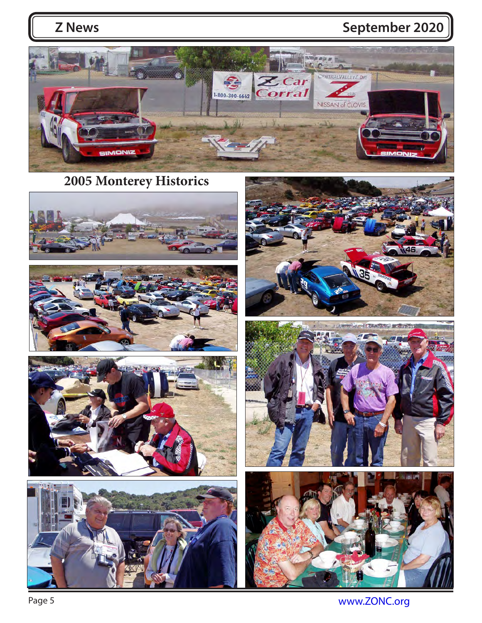<span id="page-4-0"></span>

**2005 Monterey Historics**















Page 5 www.**ZONC.org**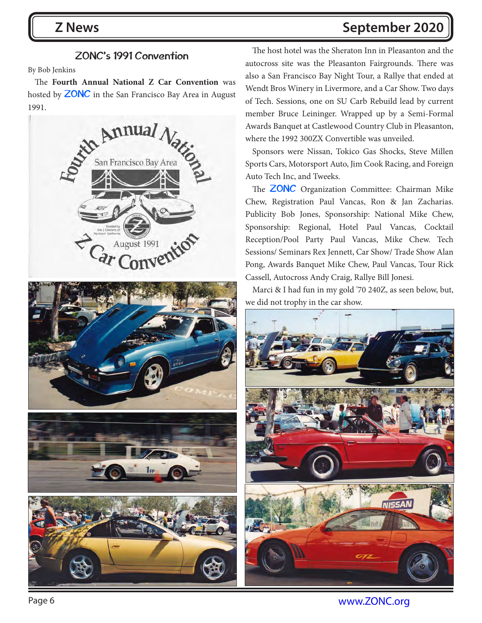#### <span id="page-5-0"></span>By Bob Jenkins

The **Fourth Annual National Z Car Convention** was hosted by **ZONC** in the San Francisco Bay Area in August 1991.



**ZONC's 1991 Convention** The host hotel was the Sheraton Inn in Pleasanton and the autocross site was the Pleasanton Fairgrounds. There was also a San Francisco Bay Night Tour, a Rallye that ended at Wendt Bros Winery in Livermore, and a Car Show. Two days of Tech. Sessions, one on SU Carb Rebuild lead by current member Bruce Leininger. Wrapped up by a Semi-Formal Awards Banquet at Castlewood Country Club in Pleasanton, where the 1992 300ZX Convertible was unveiled.

> Sponsors were Nissan, Tokico Gas Shocks, Steve Millen Sports Cars, Motorsport Auto, Jim Cook Racing, and Foreign Auto Tech Inc, and Tweeks.

> The **ZONC** Organization Committee: Chairman Mike Chew, Registration Paul Vancas, Ron & Jan Zacharias. Publicity Bob Jones, Sponsorship: National Mike Chew, Sponsorship: Regional, Hotel Paul Vancas, Cocktail Reception/Pool Party Paul Vancas, Mike Chew. Tech Sessions/ Seminars Rex Jennett, Car Show/ Trade Show Alan Pong, Awards Banquet Mike Chew, Paul Vancas, Tour Rick Cassell, Autocross Andy Craig, Rallye Bill Jonesi.

> Marci & I had fun in my gold '70 240Z, as seen below, but, we did not trophy in the car show.



Page 6 www.**ZONC.org**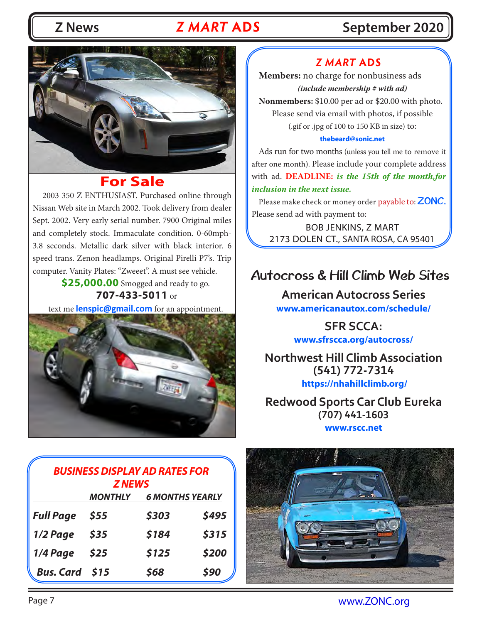### *Z MART* **ADS**

### **Z News Z MART ADS September 2020**

<span id="page-6-0"></span>

#### **For Sale**

 2003 350 Z ENTHUSIAST. Purchased online through Nissan Web site in March 2002. Took delivery from dealer Sept. 2002. Very early serial number. 7900 Original miles and completely stock. Immaculate condition. 0-60mph-3.8 seconds. Metallic dark silver with black interior. 6 speed trans. Zenon headlamps. Original Pirelli P7's. Trip computer. Vanity Plates: "Zweeet". A must see vehicle.

**\$25,000.00** Smogged and ready to go. **707-433-5011** or

text me **[lenspic@gmail.com](mailto:lenspic@gmail.com)** for an appointment.



#### *Z MART* **ADS**

**Members:** no charge for nonbusiness ads *(include membership # with ad)*

**Nonmembers:** \$10.00 per ad or \$20.00 with photo. Please send via email with photos, if possible (.gif or .jpg of 100 to 150 KB in size) to:

#### **[thebeard@sonic.net](mailto:thebeard%40sonic.net%20?subject=ZMart)**

Ads run for two months (unless you tell me to remove it after one month). Please include your complete address with ad. **DEADLINE:** *is the 15th of the month,for inclusion in the next issue.*

Please make check or money order payable to: **ZONC.**  Please send ad with payment to:

BOB JENKINS, Z MART 2173 DOLEN CT., SANTA ROSA, CA 95401

#### **Autocross & Hill Climb Web Sites**

**American Autocross Series [www.americanautox.com/schedule/](http://www.americanautox.com/schedule/ SFR SCCA: )**

> **[SFR SCCA:](http://www.americanautox.com/schedule/ SFR SCCA: ) [www.sfrscca.org/autocross/](http://www.sfrscca.org/autocross/)**

**Northwest Hill Climb Association (541) 772-7314 <https://nhahillclimb.org/>**

**Redwood Sports Car Club Eureka (707) 441-1603 [www.rscc.net](http://www.rscc.net)**

| <b>BUSINESS DISPLAY AD RATES FOR</b><br><b>ZNEWS</b> |                |                        |       |  |  |
|------------------------------------------------------|----------------|------------------------|-------|--|--|
|                                                      | <b>MONTHLY</b> | <b>6 MONTHS YEARLY</b> |       |  |  |
| <b>Full Page</b>                                     | \$55           | \$303                  | \$495 |  |  |
| 1/2 Page                                             | \$35           | \$184                  | \$315 |  |  |
| 1/4 Page                                             | \$25           | \$125                  | \$200 |  |  |
| Bus. Card \$15                                       |                | \$68                   | \$90  |  |  |



Page 7 www.**ZONC.org**